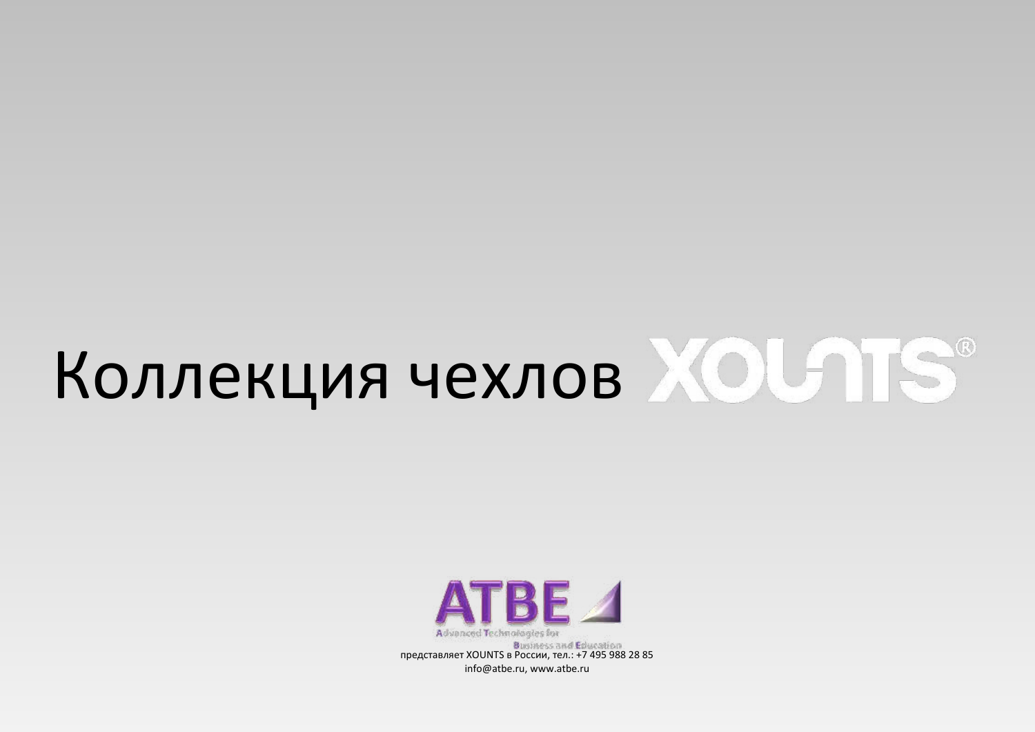# Коллекция чехлов XOUTS®



info@atbe.ru, www.atbe.ru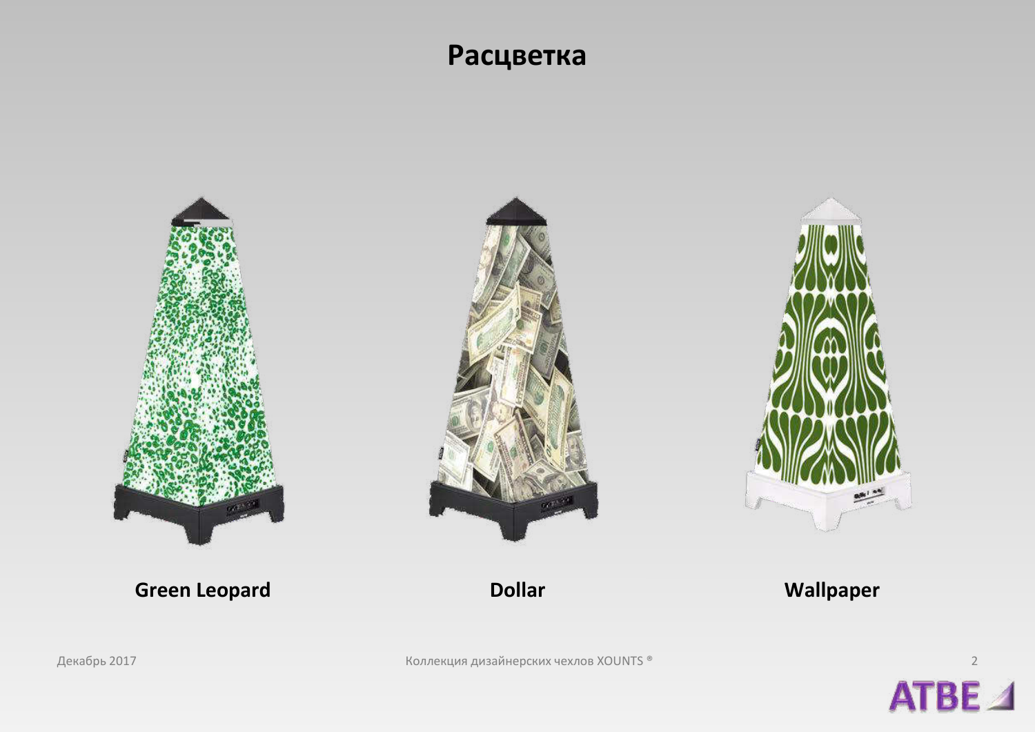### Расцветка



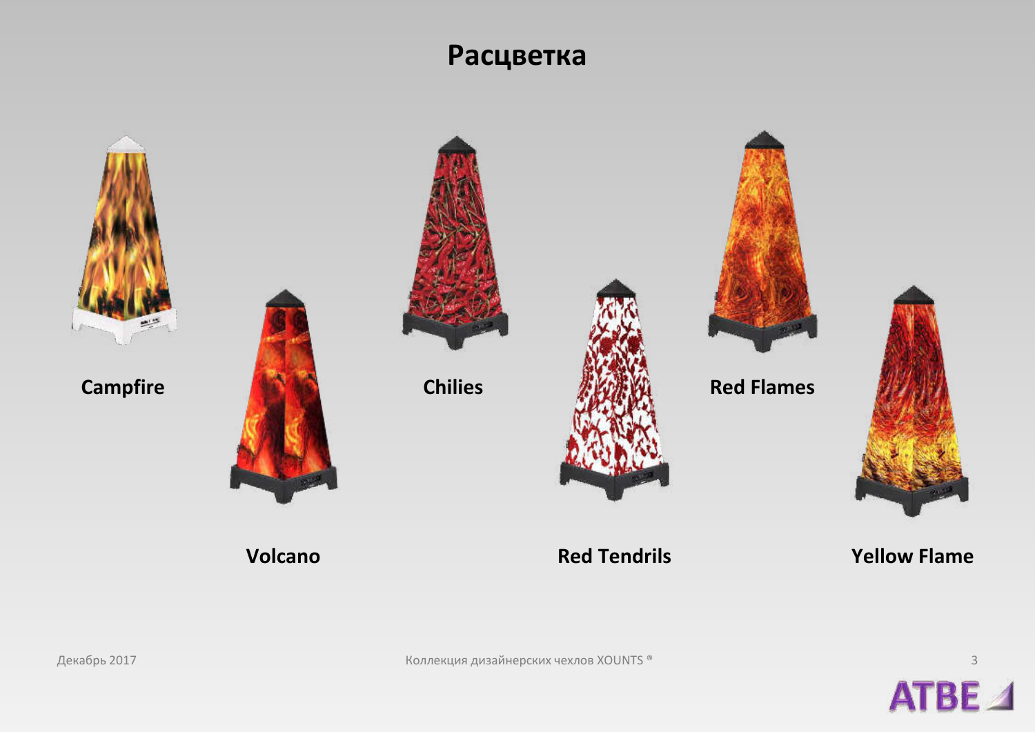## Расцветка



**Campfire** 



**Chilies** 





**Red Flames** 



**Red Tendrils** 

**Yellow Flame** 



Декабрь 2017

Volcano

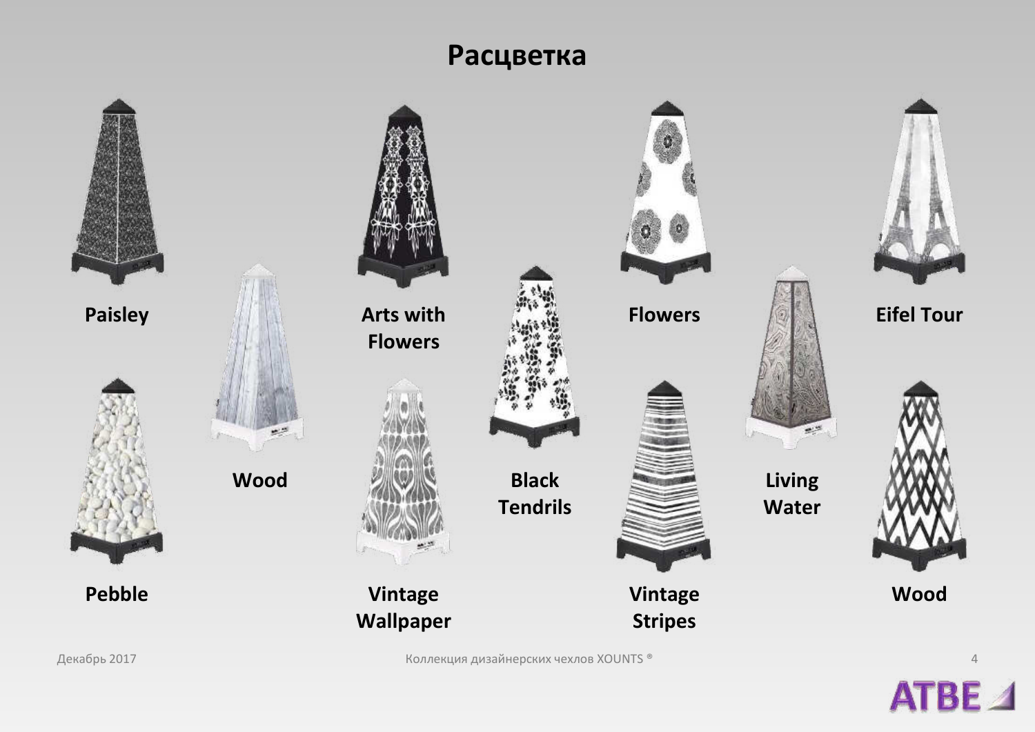#### Расцветка



Декабрь 2017 и последните составляет в тем и совмещения дизайнерских чехлов XOUNTS ® 4 человек составляет составляет на местности и совмещения дизайнерских чехлов XOUNTS ®

ATBE<sub>4</sub>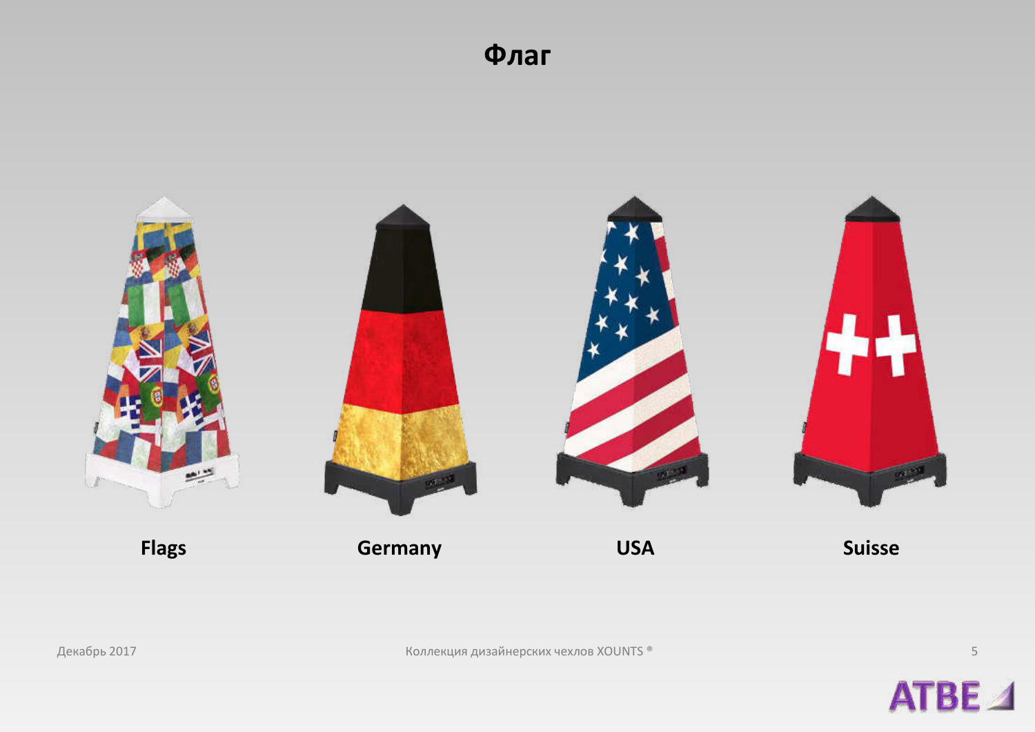Флаг



Коллекция дизайнерских чехлов XOUNTS ®



 $\mathsf S$ 

Декабрь 2017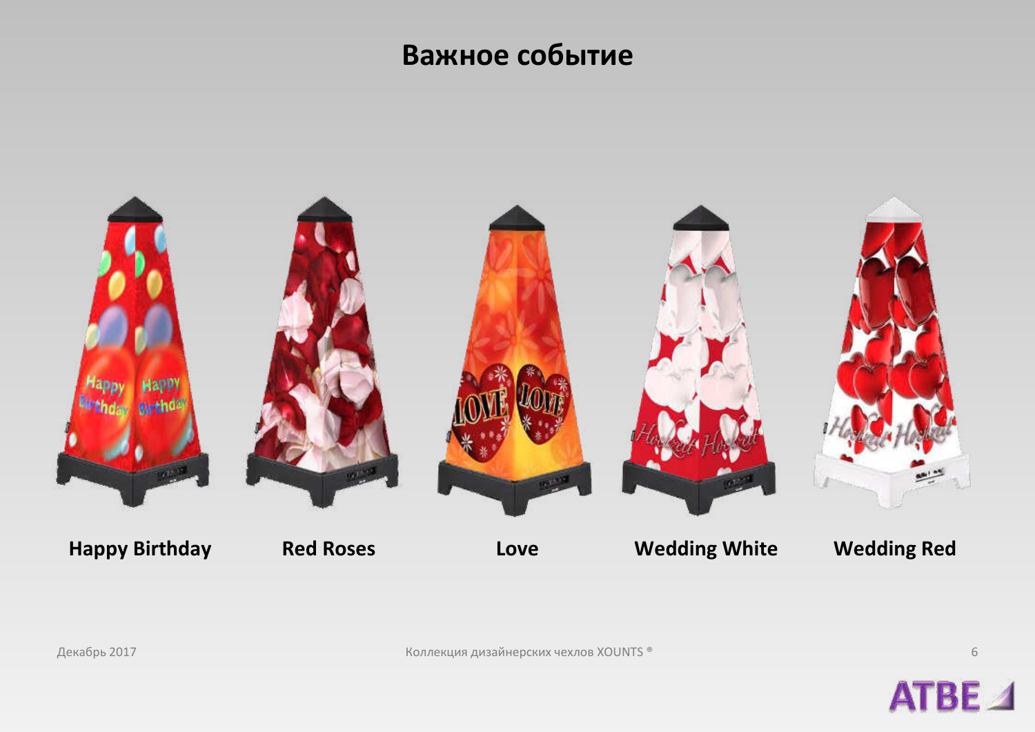## **Важное событие**



ATBE<sub>4</sub>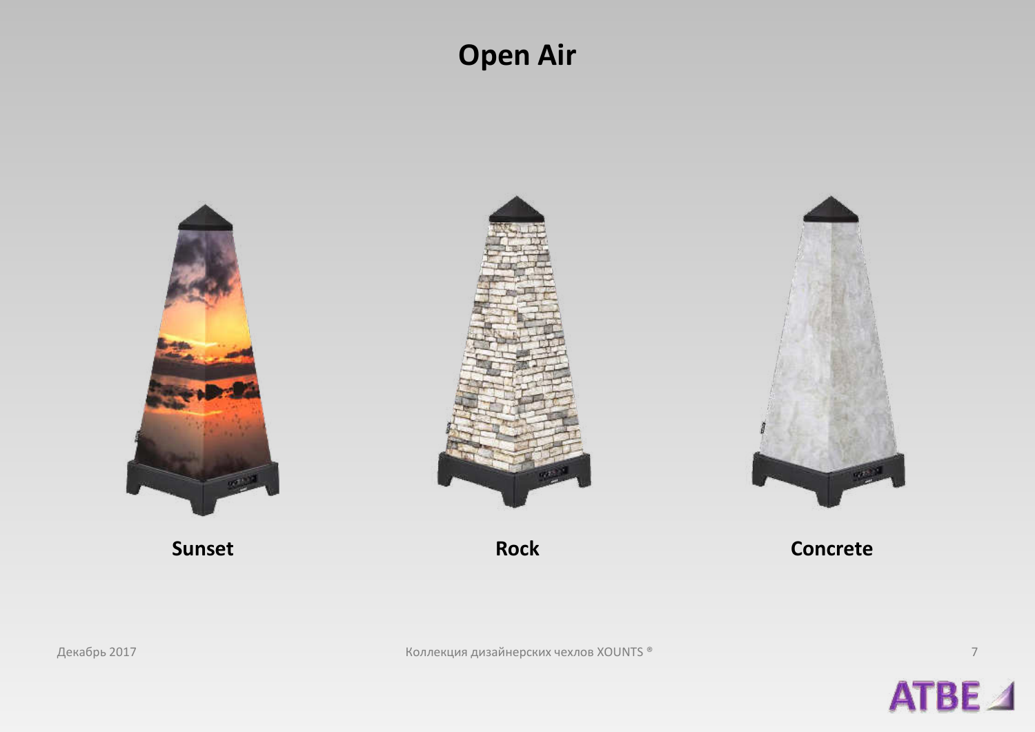## **Open Air**





 $\overline{\phantom{a}}$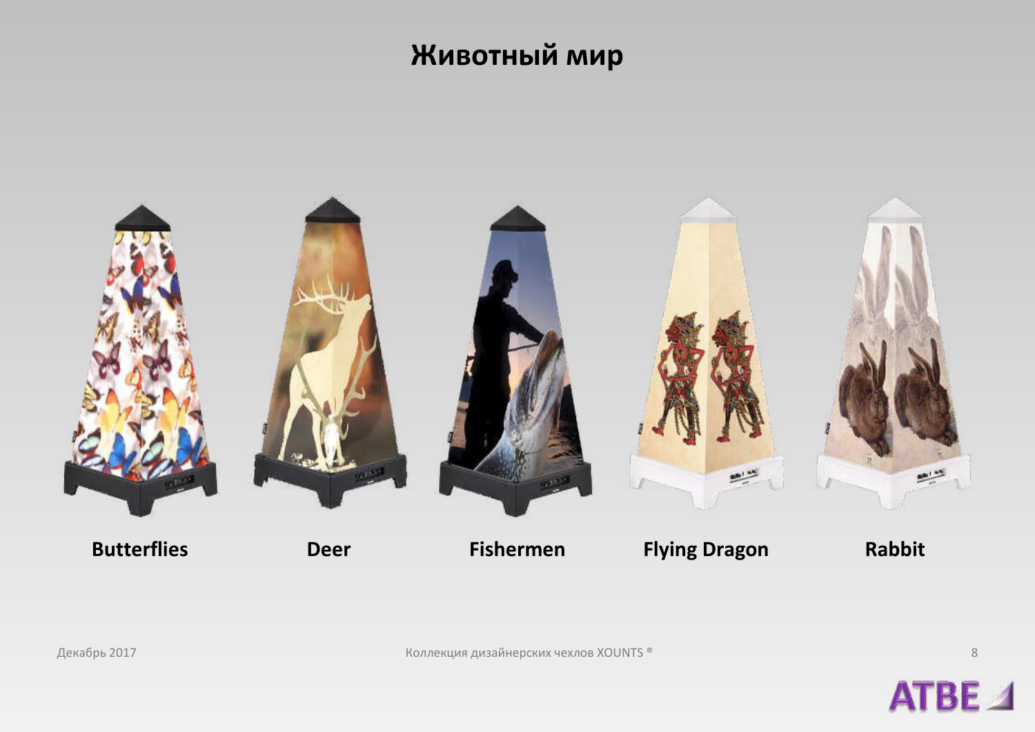## **Животный мир**



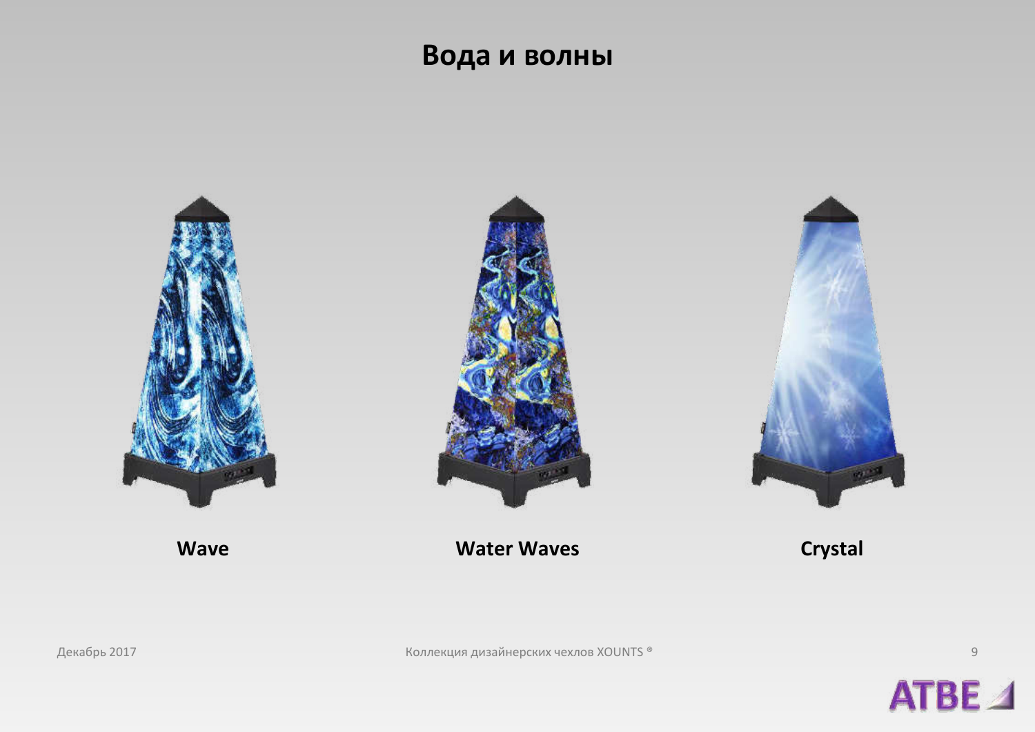#### Вода и волны



ATBE<sub>4</sub>

 $\mathcal G$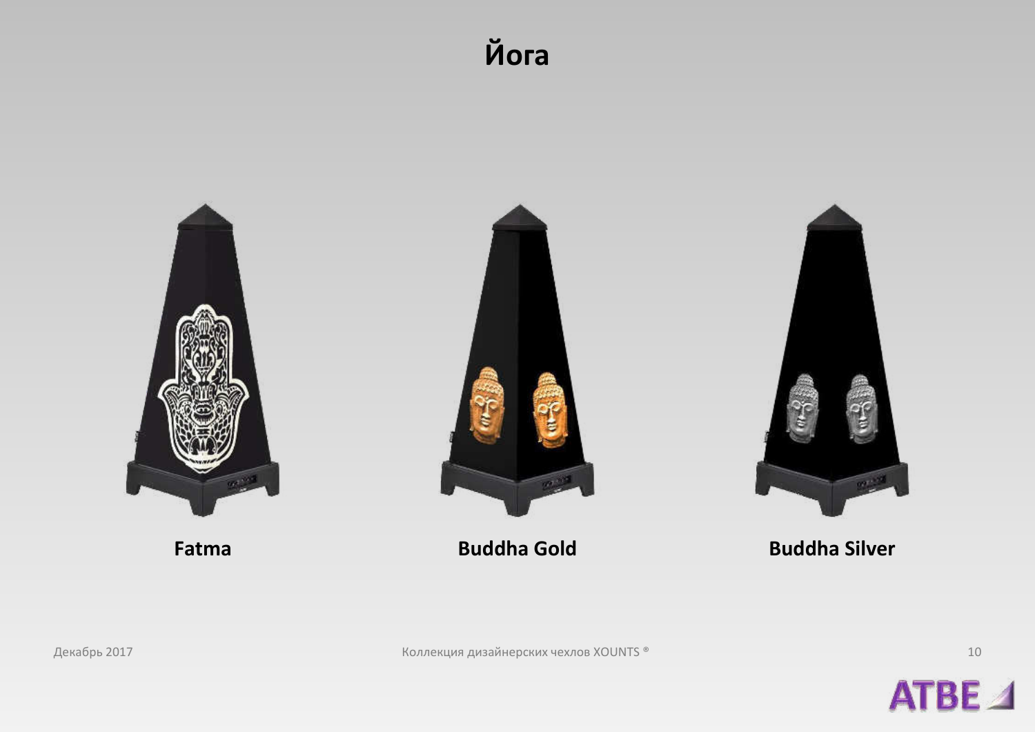## Йога





10

Декабрь 2017